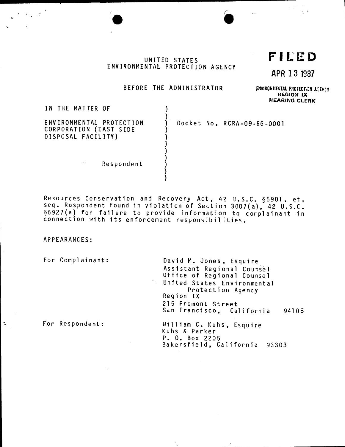UNITED STATES ENVIRONMENTAL PROTECTION AGENCY

FILED

 $\mathcal{L}^{\pm}$  ,  $\mathcal{L}^{\pm}$  $\sum_{\mathbf{k}}$ 

APR 13 1987

#### BEFORE THE ADMINISTRATOR

١

ENVIRONMENTAL PROTECT.CN ACENTY REGION IX **HEARING CLERK** 

IN THE MATTER OF

ENVIRONMENTAL PROTECTION CORPORATION (EAST SIDE DISPOSAL FACILITY)

Docket No. RCRA-09-86-0001

Respondent

Resources Conservation and Recovery Act, 42 U.S.C. §6901, et.<br>seq. Respondent found in violation of Section 3007(a), 42 U.S.C. §6927(a) for failure to provide information to corplainant in connection with its enforcement responsibilities.

APPEARANCES:

 $\bar{z}$ 

For Complainant: David M. Jones, Esquire Assistant Regional Counsel<br>Office of Regional Counsel United States Environmental Protection Agency Region IX 215 Fremont Street San Francisco, California 94105 For Respondent: William C. Kuhs, Esquire Kuhs & Parker P. O. Box 2205 Bakersfield, California 93303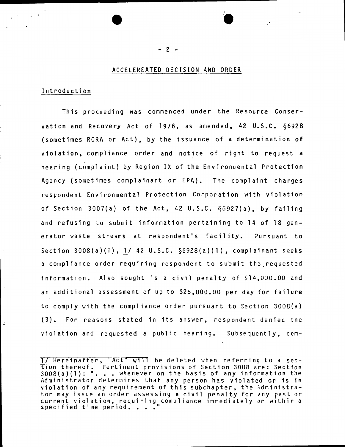# ACCELEREATED DECISION AND ORDER

## Introduction

This proceeding was commenced under the Resource Conservation and Recovery Act of 1976, as amended, 42 U.S.C. §6928 (sometimes RCRA or Act), by the issuance of a determination of violation, compliance order and notice of right to request a hearing (complaint) by Region IX of the Environmental Protection Agency (sometimes complainant or EPA). The complaint charges respondent Environmental Protection Corporation with violation of Section 3007{a) of the Act, 42 U.S.C. §6927{a), by failing and refusing to submit information pertaining to 14 of 18 generator waste streams at respondent's facility. Pursuant to Section 3008(a)(l), l/ 42 U.S.C. §6928(a){l), complainant seeks a compliance order requiring respondent to submit the.requested information. Also sought is a civil penalty of \$14,000.00 and an additional assessment of up to \$25,000.00 per day for failure to comply with the compliance order pursuant to Section 3008(a) (3). For reasons stated in its answer, respondent denied the violation and requested a public hearing. Subsequently, com-

<sup>1/</sup> Hereinafter, "Act" will be deleted when referring to a section thereof. Pertinent provisions of Section 3008 are: Section 3008(a){l): " ••• whenever on the basis of any information the Administrator determines that any person has violated or is in violation of any requirement of this subchapter, the Administrator may issue an order assessing a civil penalty for any past or current violation, requiring compliance immediately or within a specified time period. . . ."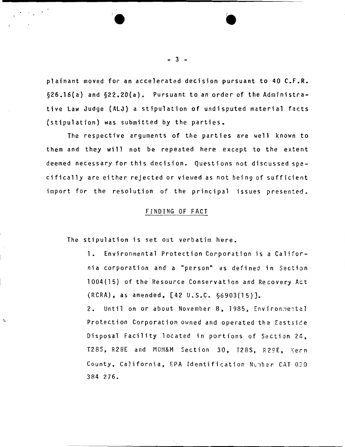plainant moved for an accelerated decision pursuant to 40 C.F.R. §26.16(a) and §22.20(a). Pursuant to an order of the Administrative law Judge (ALJ) a stipulation of undisputed material facts (stipulation) was submitted by the parties.

The respective arguments of the parties are well known to them and they will not be repeated here except to the extent deemed necessary for this decision. Questions not discussed specifically are either rejected or viewed as not being of sufficient import for the resolution of the principal issues presented.

#### FINDING OF FACT

The stipulation is set out verbatim here.

 $\ddot{ }$ 

1. Environmental Protection Corporation is a California corporation and a "person" as defined in Section 1004(15) of the Resource Conservation and Recovery Act (RCRA), as amended, [42 U.S.C. §6903(15)].

2. Until on or about November 8, 1985, Environmental Protection Corporation owned and operated the Eastside Disposal Facility located in portions of Section 24, T28S, R28E and MDM&M Section 30, T28S, R29E, Kern County, California, EPA Identification Number CAT 030 384 276.

- ------------------------------------------------------------------

- 3 -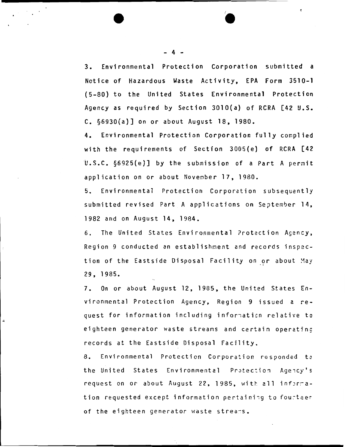3. Environmental Protection Corporation submitted a Notice of Hazardous Waste Activity, EPA Form 3510-1 ( 5-80) to the United States Environmental Protection Agency as required by Section 3010(a) of RCRA [42 U.S. C. §6930(a)] on or about August 18, 1980.

4. Environmental Protection Corporation fully complied with the requirements of Section 3005(e) of RCRA [42 U.S.C. §6925(e)] by the submission of a Part A permit application on or about November 17, 1980.

5. Environmental Protection Corporation subsequently submitted revised Part A applications on September 14, 1982 and on August 14, 1984.

6. The United States Environmental ?rotection Agency, Region 9 conducted an establishment and records inspection of the Eastside Disposal Facility on or about May 29, 1985.

7. On or about August 12, 1985, the United States Environmental Protection Agency, Region 9 issued a request for information including information relative to eighteen generator waste streams and certain operating records at the Eastside Disposal Facility.

8. Environmental Protection Corporation responded to the United States Environmental Protection Agency's request on or about August 22, 1985, with all information requested except information pertaining to fourteer of the eighteen generator waste streams.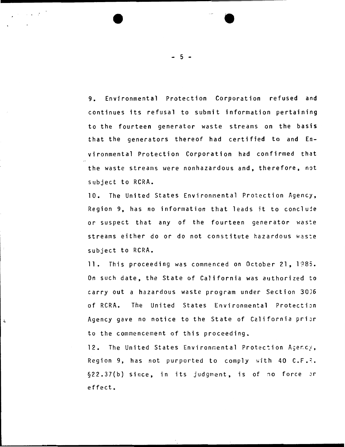9. Environmental Protection Corporation refused and continues its refusal to submit information pertaining to the fourteen generator waste streams on the basis that the generators thereof had certified to and Environmental Protection Corporation had confirmed that the waste streams were nonhazardous and, therefore, not subject to RCRA.

10. The United States Environmental Protection Agency, Region 9, has no information that leads it to concluje or suspect that any of the fourteen generator waste streams either do or do not constitute hazardous was:e subject to RCRA.

11. This proceeding was commenced on October 21, 1985. On such date, the State of California was authorized to carry out a hazardous waste program under Section 30J6 of RCRA. The United States Environmental Protection Agency gave no notice to the State of California prior to the commencement of this proceeding.

 $\ddot{ }$ 

12. The United States Environmental Protection Agency, Region 9, has not purported to comply with 40  $C.F.P.$ §22.37(b) since, in its judgment, is of no force Jr effect.

- 5 -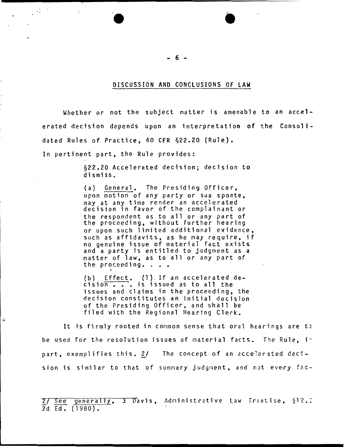#### DISCUSSION AND CONCLUSIONS OF LAW

Whether or not the subject matter is amenable to an accelerated decision depends upon an interpretation of the Consolidated Rules of Practice, 40 CFR §22.20 (Rule).

In pertinent part, the Rule provides:

 $\mathcal{A}^{(n)}$ 

 $\ddot{=}$ 

 $\cdot$ 

§22.20 Accelerated decision; decision to dismiss.

(a) General. The Presiding Officer, upon motion of any party or sua sponte, may at any time render an accelerated decision in favor of the complainant or the respondent as to all or any part of the proceeding, without further hearing or upon such linited additional evidence, such as affidavits, as he may require, if no genuine issue of material fact exists and a party is entitled to judgment as a matter of law, as to all or any part of<br>the proceeding. . . .

(b) Effect. (1). If an accelerated de $c$ isio $\overline{n}$   $\overline{\cdots}$  is issued as to all the issues and claims in the proceeding, the decision constitutes an initial decision of the Presiding Officer, and shall be filed with the Regional Hearing Clerk.

It is firmly rooted in common sense that oral hearings are to be used for the resolution issues of material facts. The Rule, ipart, exemplifies this.  $2/$  The concept of an accelerated decision is similar to that of summary judgment, and not every fac-

2/ See generally, 3 Davis, Administrative Law Treatise, §12.2 2d Ed. (1980).

- 6 -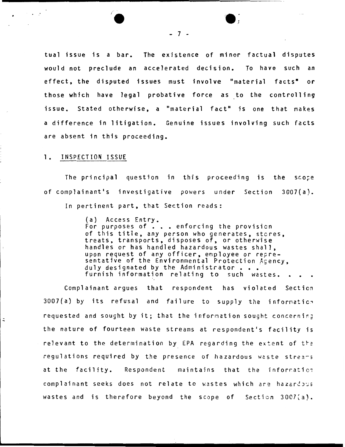tual issue is a bar. The existence of minor factual disputes would not preclude an accelerated decision. To have such an effect, the disputed issues must involve "material facts" or those which have legal probative force as to the controlling issue. Stated otherwise, a "material fact" is one that makes a difference in litigation. Genuine issues involving such facts are absent in this proceeding.

## 1. INSPECTION ISSUE

The principal question in this proceeding is the sco;e of complainant's investigative powers under Section 3007(a). In pertinent part, that Section reads:

> (a) Access Entry. For purposes of  $\cdot\cdot\cdot$  enforcing the provision of this title, any person who generates, stcres, treats, transports, disposes of, or otherwise handles or has handled hazardous wastes shall, upon request of any officer, employee or representative of the Environmental Protection Agency,<br>duly designated by the Administrator.... duly designated by the Administrator . . .<br>furnish information relating to such wastes.

Complainant argues that respondent has violated Section  $3007(a)$  by its refusal and failure to supply the information requested and sought by it; that the information sought concerning the nature of fourteen waste streams at respondent's facility is relevant to the determination by EPA regarding the extent of  $t \geq t$ regulations required by the presence of hazardous waste streams at the facility. Respondent maintains that the inforratio; complainant seeks does not relate to wastes which are hazardous wastes and is therefore beyond the scope of Section 3007(3).

- 7 -

'e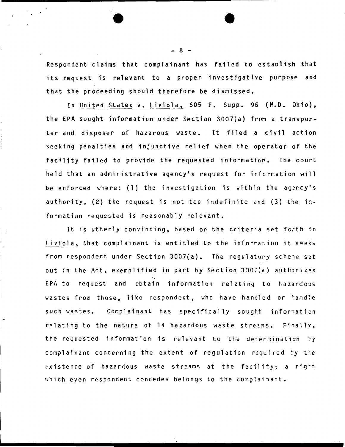Respondent claims that complainant has failed to establish that its request is relevant to a proper investigative purpose and that the proceeding should therefore be dismissed.

In United States v. Liviola, 605 F. Supp. 96 (N.D. Ohio), the EPA sought information under Section 3007(a) fron a transporter and disposer of hazarous waste. It filed a civil action seeking penalties and injunctive relief when the operator of the facility failed to provide the requested information. The court held that an administrative agency's request for infcrnation will be enforced where: (1) the investigation is within the agency's authority,  $(2)$  the request is not too indefinite and  $(3)$  the information requested is reasonably relevant.

It is utterly convincing, based on the criteria set forth in Liviola, that complainant is entitled to the inforration it see<s from respondent under Section  $3007(a)$ . The regulatory schene set out in the Act, exemplified in part by Section 3007(a) authorizes EPA to request and obtain information relating to hazardous wastes from those, like respondent, who have handled or handle such wastes. Complainant has specifically sought information relating to the nature of 14 hazardous waste streams. Finally, the requested information is relevant to the determination by complainant concerning the extent of regulation required by the existence of hazardous waste streams at the facility; a right which even respondent concedes belongs to the complainant.

 $\ddot{ }$ 

- 8 -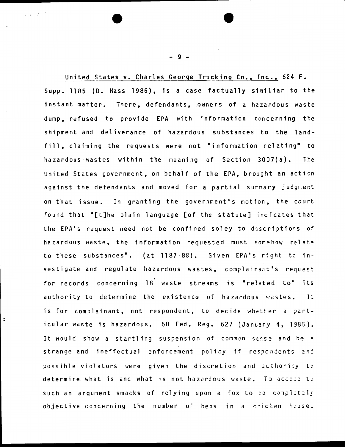United States v. Charles George Trucking Co., Inc., 624 F. Supp. 1185 (D. Mass 1986), is a case factually similiar to the instant matter. There, defendants, owners of a hazardous waste dump, refused to provide EPA with information concerning the shipment and deliverance of hazardous substances to the landfill, claiming the requests were not "information relating" to hazardous wastes within the meaning of Section 3007(a). The United States government, on behalf of the EPA, brought an action against the defendants and moved for a partial surmary judgment on that issue. In granting the government's motion, the court found that "[t]he plain language [of the statute] incicates that the EPA's request need not be confined soley to descriptions of hazardous waste, the information requested must somehow relate to these substances". (at 1187-88). Given EPA's right to investigate and regulate hazardous wastes, complainant's request for records concerning 18 waste streams is "related to" its authority to determine the existence of hazardous wastes.  $I^{\pm}$ is for complainant, not respondent, to decide whether a particular waste is hazardous. 50 Fed. Reg. 627 (January 4, 1985). It would show a startling suspension of common sense and be a strange and ineffectual enforcement policy if respondents and possible violators were given the discretion and authority to determine what is and what is not hazardous waste. To accese to such an argument smacks of relying upon a fox to be completely objective concerning the number of hens in a cricken house.

 $9 -$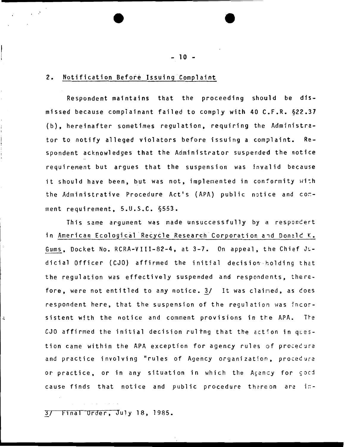## 2. Notification Before Issuing Complaint

.·

ż

Respondent maintains that the proceeding should be dismissed because complainant failed to comply with 40 C.F.R. §22.37 (b), hereinafter sometimes regulation, requiring the Administrator to notify alleged violators before issuing a complaint. Respondent acknowledges that the Administrator suspended the notice requirement but argues that the suspension was invalid because it should have been, but was not, implemented in conformity with the Administrative Procedure Act's (APA) public notice and conment requirement, 5.U.S.C. §553.

This same argument was made unsuccessfully by a responcert in American Ecological Recycle Research Corporation and Donald K. Gums, Docket No. RCRA-VIII-82-4, at 3-7. On appeal, the Chief JLdicial Officer (CJO) affirmed the initial decision holding that the regulation was effectively suspended and respondents, therefore, were not entitled to any notice.  $3/$  It was claimed, as does respondent here, that the suspension of the regulation was incorsistent with the notice and comment provisions in the APA. The  $CJO$  affirmed the initial decision ruling that the action in question came within the APA exception for agency rules of procedure and practice involving "rules of Agency organization, procedure or practice, or in any situation in which the Agency for good cause finds that notice and public procedure thereon are in-

3/ F1nal Order, July 18, 1985.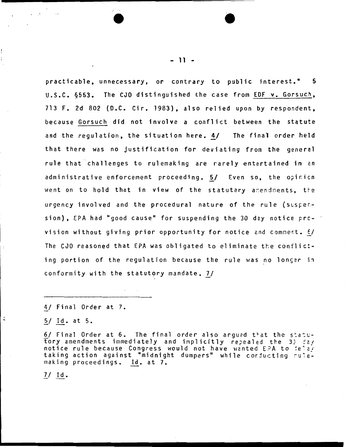practicable, unnecessary, or contrary to public interest." 5 U.S.C. 6553. The CJO distinguished the case from EDF v. Gorsuch, 713 F. 2d 802 (D.C. Cir. 1983), also relied upon by respondent. because Gorsuch did not involve a conflict between the statute and the requlation, the situation here. 4/ The final order held that there was no justification for deviating from the general rule that challenges to rulemaking are rarely entertained in an administrative enforcement proceeding. 5/ Even so, the opinion went on to hold that in view of the statutary amendments, the urgency involved and the procedural nature of the rule (suspension), EPA had "good cause" for suspending the 30 day notice prcvision without giving prior opportunity for notice and comment. E/ The CJO reasoned that EPA was obligated to eliminate the conflicting portion of the regulation because the rule was no longer in conformity with the statutory mandate. 7/

4/ Final Order at 7.

5/ Id. at 5.

6/ Final Order at 6. The final order also argued that the statu-Tory amendments immediately and implicitly repealed the 33 day<br>notice rule because Congress would not have wanted EPA to delay taking action against "midnight dumpers" while conducting rulemaking proceedings. Id. at 7.

 $7/$  Id.

 $\ddot{ }$ 

 $-11 -$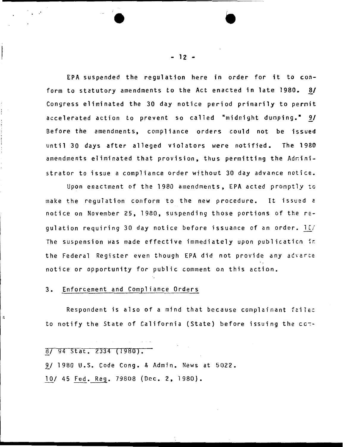EPA suspended the regulation here in order for it to conform to statutory amendments to the Act enacted in late 1980. 8/ Congress eliminated the 30 day notice period primarily to pernit accelerated action to prevent so called "midnight dumping."  $9/$ Before the amendments, compliance orders could not be issued until 30 days after alleged violators were notified. The 1980 amendments eliminated that provision, thus permitting the Adninistrator to issue a compliance order without 30 day advance notice.

Upon enactment of the 1980 amendments, EPA acted promptly to make the regulation conform to the new procedure. It issued a notice on November 25, 1980, suspending those portions of the requlation requiring 30 day notice before issuance of an order.  $10/$ The suspension was made effective immediately upon publicaticn ir the Federal Register even though EPA did not provide any advarce notice or opportunity for public comment on this action.

#### 3. Enforcement and Compliance Orders

.·

 $\ddot{ }$ 

Respondent is also of a mind that because complainant failed to notify the State of California (State) before issuing the cc~-

|  |  | $8/94$ Stat. 2334 (1980). |  |
|--|--|---------------------------|--|
|  |  |                           |  |

 $\mathcal{L}_{\mathcal{A}}$  and  $\mathcal{L}_{\mathcal{A}}$  are the set of the set of the set of the set of  $\mathcal{A}$ 

9/ 1980 U.S. Code Cong. & Admin. News at 5022.

10/ 45 Fed. Reg. 79808 (Dec. 2, 1980).

- 12 -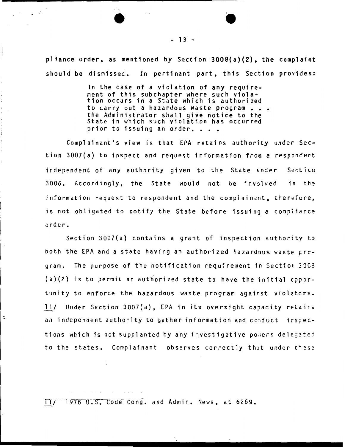p11ance order, as mentioned by Section 3008(a)(2), the complaint should be dismissed. In pertinant part, this Section provides:

> In the case of a violation of any requirement of this subchapter where such violation occurs in a State which is authorized to carry out a hazardous waste program . . . the Administrator shall give notice to the State in which such violation has occurred<br>prior to issuing an order. . . .

Complainant•s view is that EPA retains authority under Section 3007(a) to inspect and request information from a respondert independent of any authority given to the State under Secticn 3006. Accordingly, the State would not be involved in the information request to respondent and the complainant, therefore, is not obligated to notify the State before issuing a conpliance order.

Section 3007(a) contains a grant of inspection authority to both the EPA and a state having an authorized hazardous waste pregram. The purpose of the notification requirement in·section 3DC3 (a)(2) is to permit an authorized state to have the initial cpportunity to enforce the hazardous waste program against violators. 11/ Under Section 3007(a), EPA in its oversight capacity retairs an independent authority to gather information and conduct irspections which is not supplanted by any investigative powers delegated to the states. Complainant observes correctly that under these

ll/ 1976 U.S. Code Cong. and Admin. News, at 6269.

 $\ddot{ }$ 

 $- 13 -$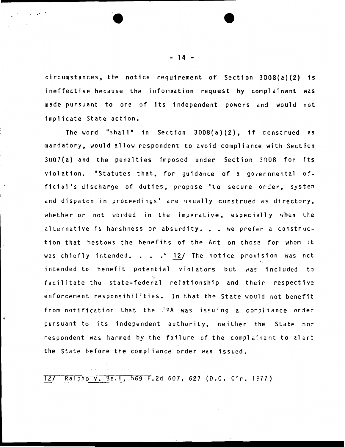circumstances, the notice requirement of Section 3008(a){2) is ineffective because the information request by complainant was made pursuant to one of its independent powers and would not implicate State action.

The word "shall" in Section 3008(a)(2), if construed cs mandatory, would allow respondent to avoid compliance with Section  $3007(a)$  and the penalties imposed under Section  $3008$  for its violation. "Statutes that, for guidance of a governmental official's discharge of duties, propose 'to secure order, system and dispatch in proceedings' are usually construed as directory, whether or not worded in the imperative, especially when the alternative is harshness or absurdity. . . we prefer a construction that bestows the benefits of the Act on those for whom it was chiefly intended. . . . " 12/ The notice provision was nct intended to benefit potential violators but was included to ·- ~ facilitate the state-federal relationship and their respective enforcement responsibilities. In that the State would not benefit from notification that the EPA was issuing a corpliance order pursuant to its independent authority, neither the State nor respondent was harmed by the failure of the complainant to alert the State before the compliance order was issued.

12/ Ralpho v. Bell, 569 F.2d 607, 627 (D.C. Cir. 1977)

- 14 -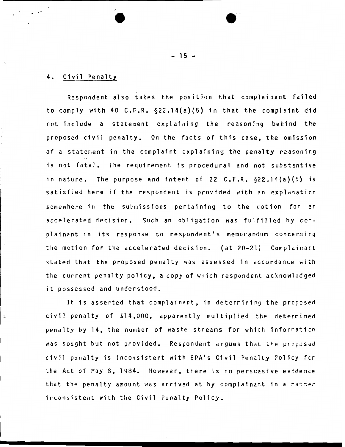## 4. Civil Penalty

 $\ddot{ }$ 

Respondent also takes the position that complainant failed to comply with 40 C.F.R. §22.14(a){5) in that the complaint did not include a statement explaining the reasoning behind the proposed civil penalty. On the facts of this case, the omission of a statement in the complaint explaining the penalty reasoning is not fatal. The requirement is procedural and not substantive in nature. The purpose and intent of 22 C.F.R. §22.14{a)(5) is satisfied here if the respondent is provided with an explanaticn somewhere in the submissions pertaining to the notion for an accelerated decision. Such an obligation was fulfilled by conplainant in its response to respondent's memorandum concernirg the motion for the accelerated decision. (at 20-21) Complainart stated that the proposed penalty was assessed in accordance with the current penalty policy, a copy of which respondent acknowledged it possessed and understood.

It is asserted that complainant, in deternining the proposed civil penalty of \$14,000, apparently multiplied the determined penalty by 14, the number of waste streams for which information was sought but not provided. Respondent argues that the proposed civil penalty is inconsistent with EPA's Civil Penalty Policy fer the Act of May 8, 1984. However, there is no persuasive evidence that the penalty amount was arrived at by complainant in a racher inconsistent with the Civil Penalty Policy.

 $- 15 -$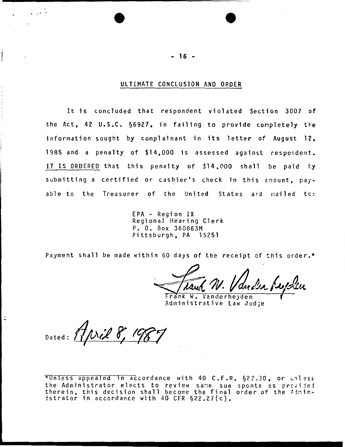## ULTIMATE CONCLUSION AND ORDER

It is concluded that respondent violated Section 3007 of the Act, 42 U.S.C. §6927, in failing to provide conpletely the information sought by complainant in its letter of August 12, 1985 and a penalty of \$14,000 is assessed against respondent. IT IS ORDERED that this penalty of \$14,000 shall be paid by submitting a certified or cashier's check in this amount, payable to the Treasurer of the United States ard nailed tc:

> EPA - Region IX Regional Hearing Clerk P. 0. Box 360863M Pittsburgh, PA 15251

Payment shall be made within 60 days of the receipt of this order.\*

rank W. Vanderheyden Administrative Law Jud;e

Dated: Thril 8, 198

 $*$ Unless appealed in accordance with 40 C.F.R.  $\S$ 22.30, or unless the Administrator elects to review same sua sponte as provided therein, this decision shall become the final order of the  $\frac{1}{10}$ istrator in accordance with 40 CFR §22.27(c).

 $- 16 -$